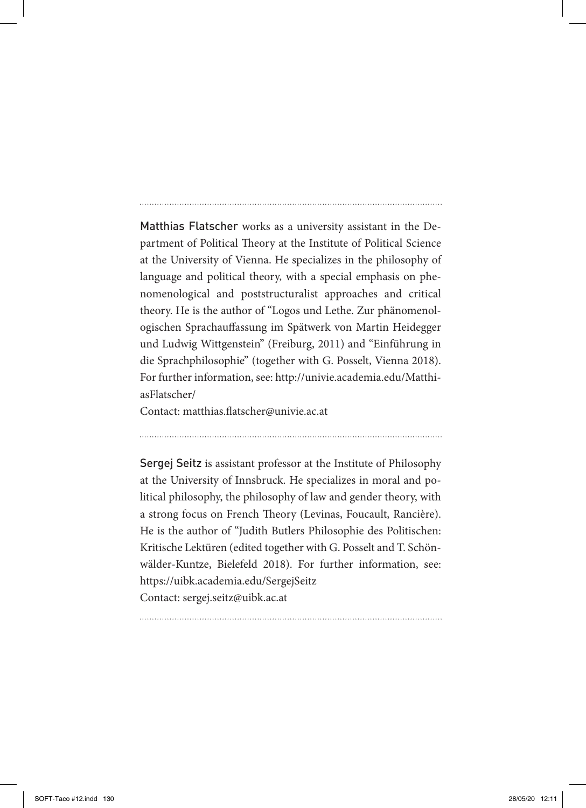Matthias Flatscher works as a university assistant in the Department of Political Theory at the Institute of Political Science at the University of Vienna. He specializes in the philosophy of language and political theory, with a special emphasis on phenomenological and poststructuralist approaches and critical theory. He is the author of "Logos und Lethe. Zur phänomenologischen Sprachauffassung im Spätwerk von Martin Heidegger und Ludwig Wittgenstein" (Freiburg, 2011) and "Einführung in die Sprachphilosophie" (together with G. Posselt, Vienna 2018). For further information, see: http://univie.academia.edu/MatthiasFlatscher/

Contact: matthias.flatscher@univie.ac.at

Sergej Seitz is assistant professor at the Institute of Philosophy at the University of Innsbruck. He specializes in moral and political philosophy, the philosophy of law and gender theory, with a strong focus on French Theory (Levinas, Foucault, Rancière). He is the author of "Judith Butlers Philosophie des Politischen: Kritische Lektüren (edited together with G. Posselt and T. Schönwälder-Kuntze, Bielefeld 2018). For further information, see: https://uibk.academia.edu/SergejSeitz Contact: sergej.seitz@uibk.ac.at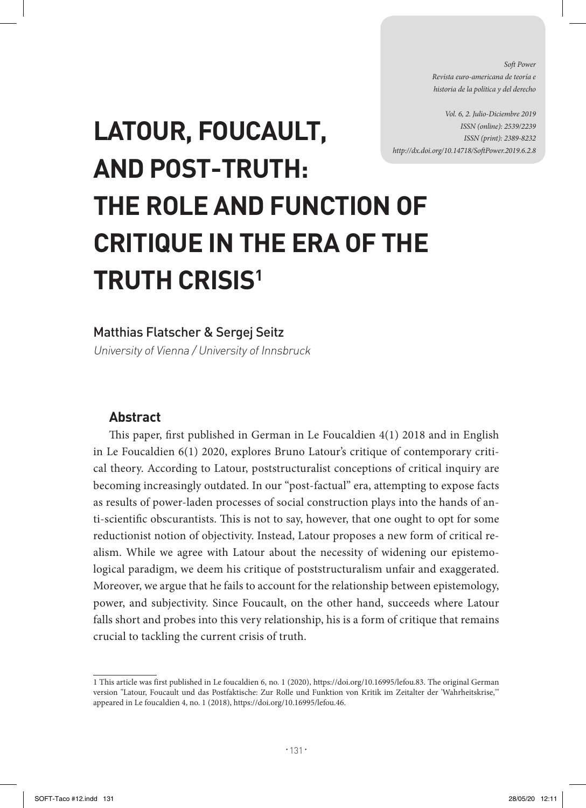*Soft Power Revista euro-americana de teoría e historia de la política y del derecho* 

*Vol. 6, 2. Julio-Diciembre 2019 ISSN (online): 2539/2239 ISSN (print): 2389-8232 http://dx.doi.org/10.14718/SoftPower.2019.6.2.8*

# **LATOUR, FOUCAULT, AND POST-TRUTH: THE ROLE AND FUNCTION OF CRITIQUE IN THE ERA OF THE TRUTH CRISIS1**

#### Matthias Flatscher & Sergej Seitz

University of Vienna / University of Innsbruck

#### **Abstract**

This paper, first published in German in Le Foucaldien 4(1) 2018 and in English in Le Foucaldien 6(1) 2020, explores Bruno Latour's critique of contemporary critical theory. According to Latour, poststructuralist conceptions of critical inquiry are becoming increasingly outdated. In our "post-factual" era, attempting to expose facts as results of power-laden processes of social construction plays into the hands of anti-scientific obscurantists. This is not to say, however, that one ought to opt for some reductionist notion of objectivity. Instead, Latour proposes a new form of critical realism. While we agree with Latour about the necessity of widening our epistemological paradigm, we deem his critique of poststructuralism unfair and exaggerated. Moreover, we argue that he fails to account for the relationship between epistemology, power, and subjectivity. Since Foucault, on the other hand, succeeds where Latour falls short and probes into this very relationship, his is a form of critique that remains crucial to tackling the current crisis of truth.

<sup>1</sup> This article was first published in Le foucaldien 6, no. 1 (2020), https://doi.org/10.16995/lefou.83. The original German version "Latour, Foucault und das Postfaktische: Zur Rolle und Funktion von Kritik im Zeitalter der 'Wahrheitskrise,'" appeared in Le foucaldien 4, no. 1 (2018), https://doi.org/10.16995/lefou.46.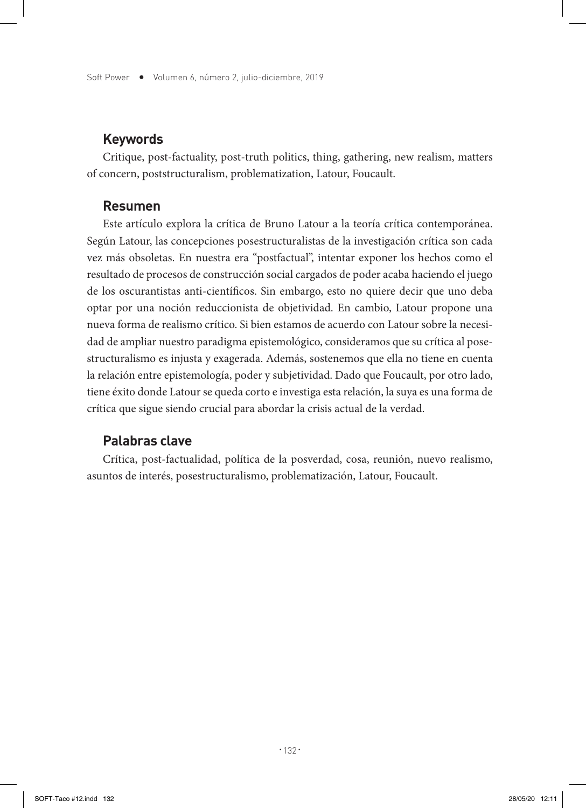#### **Keywords**

Critique, post-factuality, post-truth politics, thing, gathering, new realism, matters of concern, poststructuralism, problematization, Latour, Foucault.

#### **Resumen**

Este artículo explora la crítica de Bruno Latour a la teoría crítica contemporánea. Según Latour, las concepciones posestructuralistas de la investigación crítica son cada vez más obsoletas. En nuestra era "postfactual", intentar exponer los hechos como el resultado de procesos de construcción social cargados de poder acaba haciendo el juego de los oscurantistas anti-científicos. Sin embargo, esto no quiere decir que uno deba optar por una noción reduccionista de objetividad. En cambio, Latour propone una nueva forma de realismo crítico. Si bien estamos de acuerdo con Latour sobre la necesidad de ampliar nuestro paradigma epistemológico, consideramos que su crítica al posestructuralismo es injusta y exagerada. Además, sostenemos que ella no tiene en cuenta la relación entre epistemología, poder y subjetividad. Dado que Foucault, por otro lado, tiene éxito donde Latour se queda corto e investiga esta relación, la suya es una forma de crítica que sigue siendo crucial para abordar la crisis actual de la verdad.

#### **Palabras clave**

Crítica, post-factualidad, política de la posverdad, cosa, reunión, nuevo realismo, asuntos de interés, posestructuralismo, problematización, Latour, Foucault.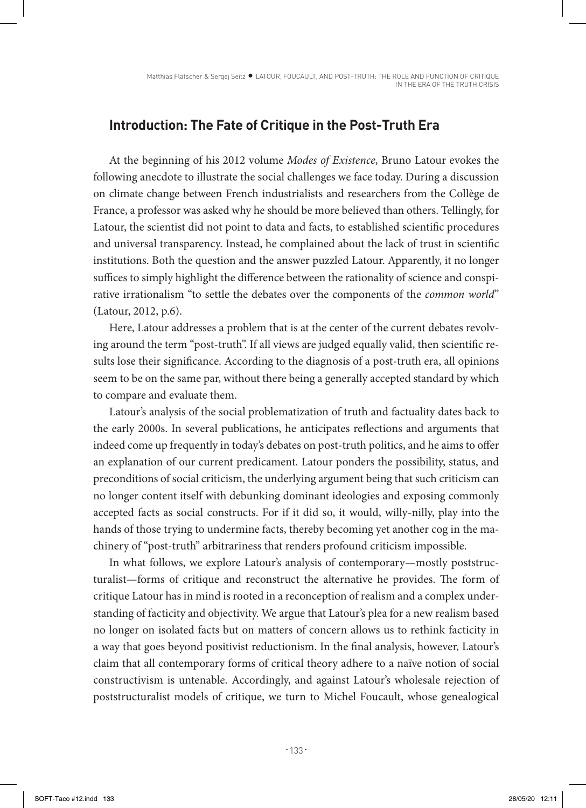## **Introduction: The Fate of Critique in the Post-Truth Era**

At the beginning of his 2012 volume *Modes of Existence*, Bruno Latour evokes the following anecdote to illustrate the social challenges we face today. During a discussion on climate change between French industrialists and researchers from the Collège de France, a professor was asked why he should be more believed than others. Tellingly, for Latour, the scientist did not point to data and facts, to established scientific procedures and universal transparency. Instead, he complained about the lack of trust in scientific institutions. Both the question and the answer puzzled Latour. Apparently, it no longer suffices to simply highlight the difference between the rationality of science and conspirative irrationalism "to settle the debates over the components of the *common world*" (Latour, 2012, p.6).

Here, Latour addresses a problem that is at the center of the current debates revolving around the term "post-truth". If all views are judged equally valid, then scientific results lose their significance. According to the diagnosis of a post-truth era, all opinions seem to be on the same par, without there being a generally accepted standard by which to compare and evaluate them.

Latour's analysis of the social problematization of truth and factuality dates back to the early 2000s. In several publications, he anticipates reflections and arguments that indeed come up frequently in today's debates on post-truth politics, and he aims to offer an explanation of our current predicament. Latour ponders the possibility, status, and preconditions of social criticism, the underlying argument being that such criticism can no longer content itself with debunking dominant ideologies and exposing commonly accepted facts as social constructs. For if it did so, it would, willy-nilly, play into the hands of those trying to undermine facts, thereby becoming yet another cog in the machinery of "post-truth" arbitrariness that renders profound criticism impossible.

In what follows, we explore Latour's analysis of contemporary—mostly poststructuralist—forms of critique and reconstruct the alternative he provides. The form of critique Latour has in mind is rooted in a reconception of realism and a complex understanding of facticity and objectivity. We argue that Latour's plea for a new realism based no longer on isolated facts but on matters of concern allows us to rethink facticity in a way that goes beyond positivist reductionism. In the final analysis, however, Latour's claim that all contemporary forms of critical theory adhere to a naïve notion of social constructivism is untenable. Accordingly, and against Latour's wholesale rejection of poststructuralist models of critique, we turn to Michel Foucault, whose genealogical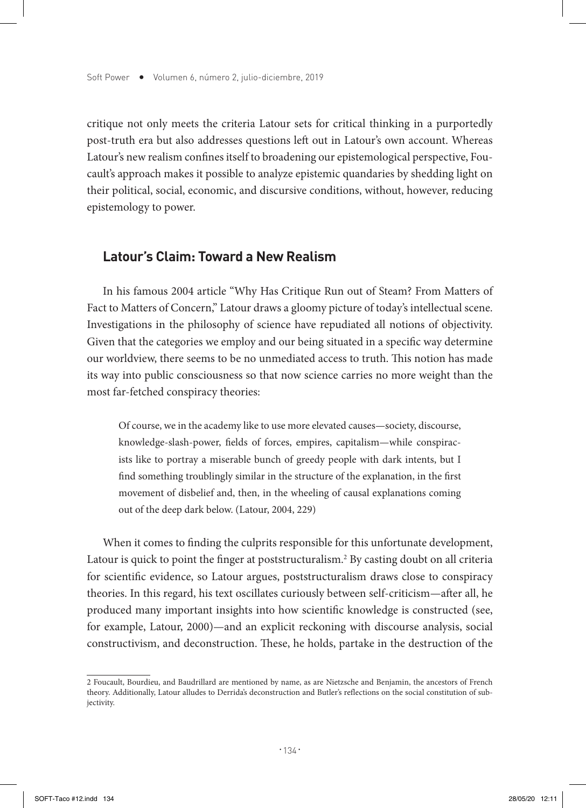critique not only meets the criteria Latour sets for critical thinking in a purportedly post-truth era but also addresses questions left out in Latour's own account. Whereas Latour's new realism confines itself to broadening our epistemological perspective, Foucault's approach makes it possible to analyze epistemic quandaries by shedding light on their political, social, economic, and discursive conditions, without, however, reducing epistemology to power.

#### **Latour's Claim: Toward a New Realism**

In his famous 2004 article "Why Has Critique Run out of Steam? From Matters of Fact to Matters of Concern," Latour draws a gloomy picture of today's intellectual scene. Investigations in the philosophy of science have repudiated all notions of objectivity. Given that the categories we employ and our being situated in a specific way determine our worldview, there seems to be no unmediated access to truth. This notion has made its way into public consciousness so that now science carries no more weight than the most far-fetched conspiracy theories:

Of course, we in the academy like to use more elevated causes—society, discourse, knowledge-slash-power, fields of forces, empires, capitalism—while conspiracists like to portray a miserable bunch of greedy people with dark intents, but I find something troublingly similar in the structure of the explanation, in the first movement of disbelief and, then, in the wheeling of causal explanations coming out of the deep dark below. (Latour, 2004, 229)

When it comes to finding the culprits responsible for this unfortunate development, Latour is quick to point the finger at poststructuralism.<sup>2</sup> By casting doubt on all criteria for scientific evidence, so Latour argues, poststructuralism draws close to conspiracy theories. In this regard, his text oscillates curiously between self-criticism—after all, he produced many important insights into how scientific knowledge is constructed (see, for example, Latour, 2000)—and an explicit reckoning with discourse analysis, social constructivism, and deconstruction. These, he holds, partake in the destruction of the

<sup>2</sup> Foucault, Bourdieu, and Baudrillard are mentioned by name, as are Nietzsche and Benjamin, the ancestors of French theory. Additionally, Latour alludes to Derrida's deconstruction and Butler's reflections on the social constitution of subjectivity.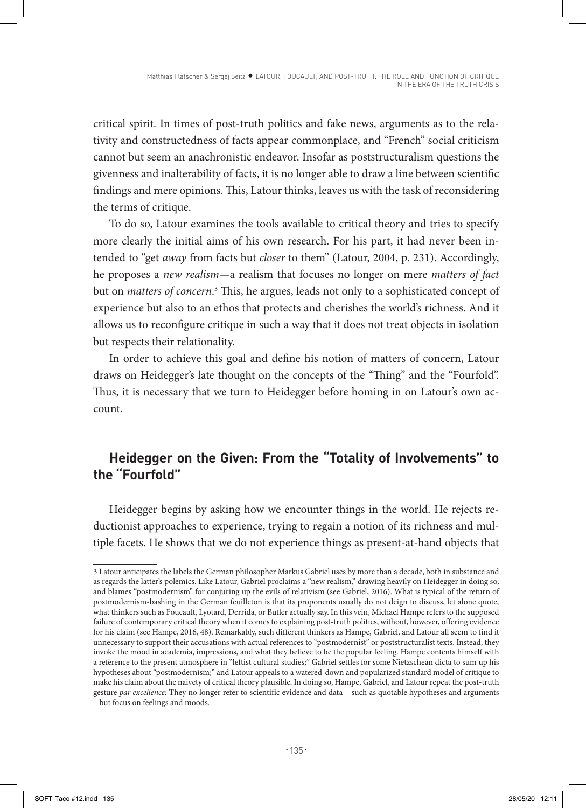critical spirit. In times of post-truth politics and fake news, arguments as to the relativity and constructedness of facts appear commonplace, and "French" social criticism cannot but seem an anachronistic endeavor. Insofar as poststructuralism questions the givenness and inalterability of facts, it is no longer able to draw a line between scientific findings and mere opinions. This, Latour thinks, leaves us with the task of reconsidering the terms of critique.

To do so, Latour examines the tools available to critical theory and tries to specify more clearly the initial aims of his own research. For his part, it had never been intended to "get *away* from facts but *closer* to them" (Latour, 2004, p. 231). Accordingly, he proposes a *new realism—*a realism that focuses no longer on mere *matters of fact* but on *matters of concern*. 3 This, he argues, leads not only to a sophisticated concept of experience but also to an ethos that protects and cherishes the world's richness. And it allows us to reconfigure critique in such a way that it does not treat objects in isolation but respects their relationality.

In order to achieve this goal and define his notion of matters of concern, Latour draws on Heidegger's late thought on the concepts of the "Thing" and the "Fourfold". Thus, it is necessary that we turn to Heidegger before homing in on Latour's own account.

# **Heidegger on the Given: From the "Totality of Involvements" to the "Fourfold"**

Heidegger begins by asking how we encounter things in the world. He rejects reductionist approaches to experience, trying to regain a notion of its richness and multiple facets. He shows that we do not experience things as present-at-hand objects that

<sup>3</sup> Latour anticipates the labels the German philosopher Markus Gabriel uses by more than a decade, both in substance and as regards the latter's polemics. Like Latour, Gabriel proclaims a "new realism," drawing heavily on Heidegger in doing so, and blames "postmodernism" for conjuring up the evils of relativism (see Gabriel, 2016). What is typical of the return of postmodernism-bashing in the German feuilleton is that its proponents usually do not deign to discuss, let alone quote, what thinkers such as Foucault, Lyotard, Derrida, or Butler actually say. In this vein, Michael Hampe refers to the supposed failure of contemporary critical theory when it comes to explaining post-truth politics, without, however, offering evidence for his claim (see Hampe, 2016, 48). Remarkably, such different thinkers as Hampe, Gabriel, and Latour all seem to find it unnecessary to support their accusations with actual references to "postmodernist" or poststructuralist texts. Instead, they invoke the mood in academia, impressions, and what they believe to be the popular feeling. Hampe contents himself with a reference to the present atmosphere in "leftist cultural studies;" Gabriel settles for some Nietzschean dicta to sum up his hypotheses about "postmodernism;" and Latour appeals to a watered-down and popularized standard model of critique to make his claim about the naivety of critical theory plausible. In doing so, Hampe, Gabriel, and Latour repeat the post-truth gesture *par excellence*: They no longer refer to scientific evidence and data – such as quotable hypotheses and arguments – but focus on feelings and moods.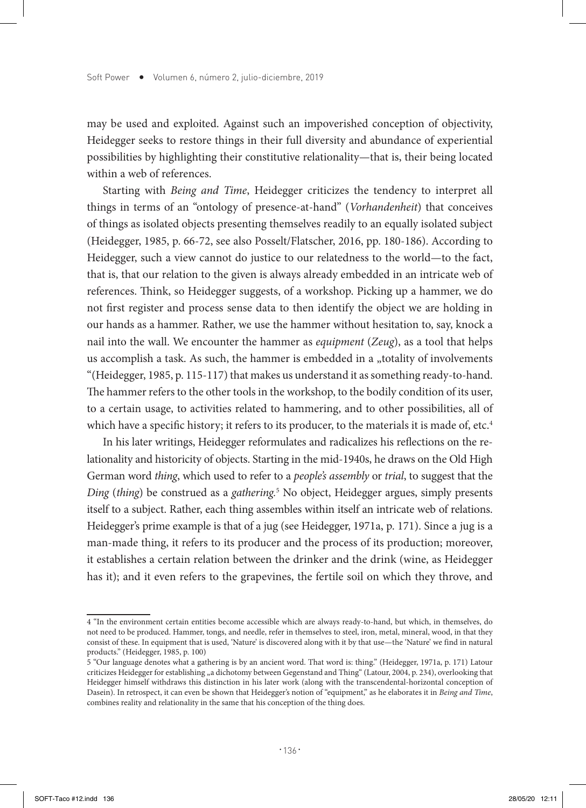may be used and exploited. Against such an impoverished conception of objectivity, Heidegger seeks to restore things in their full diversity and abundance of experiential possibilities by highlighting their constitutive relationality—that is, their being located within a web of references.

Starting with *Being and Time*, Heidegger criticizes the tendency to interpret all things in terms of an "ontology of presence-at-hand" (*Vorhandenheit*) that conceives of things as isolated objects presenting themselves readily to an equally isolated subject (Heidegger, 1985, p. 66-72, see also Posselt/Flatscher, 2016, pp. 180-186). According to Heidegger, such a view cannot do justice to our relatedness to the world—to the fact, that is, that our relation to the given is always already embedded in an intricate web of references. Think, so Heidegger suggests, of a workshop. Picking up a hammer, we do not first register and process sense data to then identify the object we are holding in our hands as a hammer. Rather, we use the hammer without hesitation to, say, knock a nail into the wall. We encounter the hammer as *equipment* (*Zeug*), as a tool that helps us accomplish a task. As such, the hammer is embedded in a "totality of involvements "(Heidegger, 1985, p. 115-117) that makes us understand it as something ready-to-hand. The hammer refers to the other tools in the workshop, to the bodily condition of its user, to a certain usage, to activities related to hammering, and to other possibilities, all of which have a specific history; it refers to its producer, to the materials it is made of, etc.<sup>4</sup>

In his later writings, Heidegger reformulates and radicalizes his reflections on the relationality and historicity of objects. Starting in the mid-1940s, he draws on the Old High German word *thing*, which used to refer to a *people's assembly* or *trial*, to suggest that the *Ding* (*thing*) be construed as a *gathering.*<sup>5</sup> No object, Heidegger argues, simply presents itself to a subject. Rather, each thing assembles within itself an intricate web of relations. Heidegger's prime example is that of a jug (see Heidegger, 1971a, p. 171). Since a jug is a man-made thing, it refers to its producer and the process of its production; moreover, it establishes a certain relation between the drinker and the drink (wine, as Heidegger has it); and it even refers to the grapevines, the fertile soil on which they throve, and

<sup>4 &</sup>quot;In the environment certain entities become accessible which are always ready-to-hand, but which, in themselves, do not need to be produced. Hammer, tongs, and needle, refer in themselves to steel, iron, metal, mineral, wood, in that they consist of these. In equipment that is used, 'Nature' is discovered along with it by that use—the 'Nature' we find in natural products." (Heidegger, 1985, p. 100)

<sup>5 &</sup>quot;Our language denotes what a gathering is by an ancient word. That word is: thing." (Heidegger, 1971a, p. 171) Latour criticizes Heidegger for establishing "a dichotomy between Gegenstand and Thing" (Latour, 2004, p. 234), overlooking that Heidegger himself withdraws this distinction in his later work (along with the transcendental-horizontal conception of Dasein). In retrospect, it can even be shown that Heidegger's notion of "equipment," as he elaborates it in *Being and Time*, combines reality and relationality in the same that his conception of the thing does.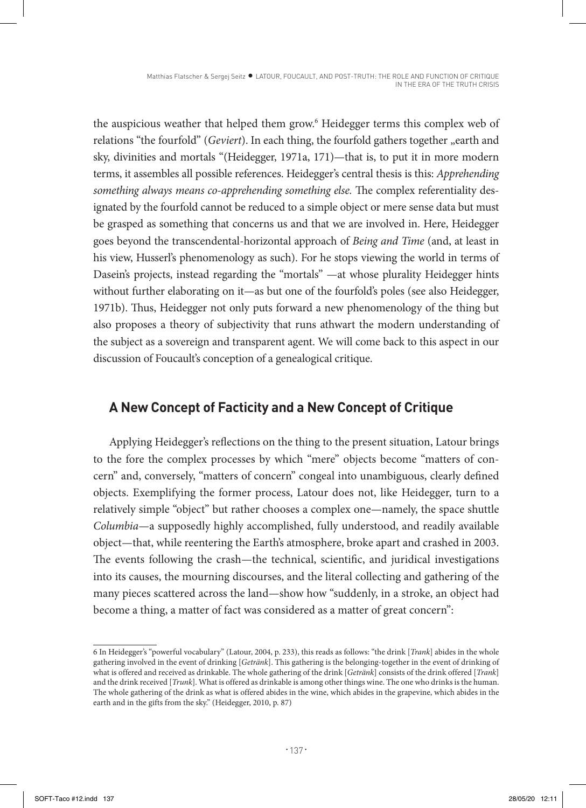the auspicious weather that helped them grow.6 Heidegger terms this complex web of relations "the fourfold" (*Geviert*). In each thing, the fourfold gathers together "earth and sky, divinities and mortals "(Heidegger, 1971a, 171)—that is, to put it in more modern terms, it assembles all possible references. Heidegger's central thesis is this: *Apprehending something always means co-apprehending something else.* The complex referentiality designated by the fourfold cannot be reduced to a simple object or mere sense data but must be grasped as something that concerns us and that we are involved in. Here, Heidegger goes beyond the transcendental-horizontal approach of *Being and Time* (and, at least in his view, Husserl's phenomenology as such). For he stops viewing the world in terms of Dasein's projects, instead regarding the "mortals" —at whose plurality Heidegger hints without further elaborating on it—as but one of the fourfold's poles (see also Heidegger, 1971b). Thus, Heidegger not only puts forward a new phenomenology of the thing but also proposes a theory of subjectivity that runs athwart the modern understanding of the subject as a sovereign and transparent agent. We will come back to this aspect in our discussion of Foucault's conception of a genealogical critique.

# **A New Concept of Facticity and a New Concept of Critique**

Applying Heidegger's reflections on the thing to the present situation, Latour brings to the fore the complex processes by which "mere" objects become "matters of concern" and, conversely, "matters of concern" congeal into unambiguous, clearly defined objects. Exemplifying the former process, Latour does not, like Heidegger, turn to a relatively simple "object" but rather chooses a complex one—namely, the space shuttle *Columbia—*a supposedly highly accomplished, fully understood, and readily available object—that, while reentering the Earth's atmosphere, broke apart and crashed in 2003. The events following the crash—the technical, scientific, and juridical investigations into its causes, the mourning discourses, and the literal collecting and gathering of the many pieces scattered across the land—show how "suddenly, in a stroke, an object had become a thing, a matter of fact was considered as a matter of great concern":

<sup>6</sup> In Heidegger's "powerful vocabulary" (Latour, 2004, p. 233), this reads as follows: "the drink [*Trank*] abides in the whole gathering involved in the event of drinking [*Getränk*]. This gathering is the belonging-together in the event of drinking of what is offered and received as drinkable. The whole gathering of the drink [*Getränk*] consists of the drink offered [*Trank*] and the drink received [*Trunk*]. What is offered as drinkable is among other things wine. The one who drinks is the human. The whole gathering of the drink as what is offered abides in the wine, which abides in the grapevine, which abides in the earth and in the gifts from the sky." (Heidegger, 2010, p. 87)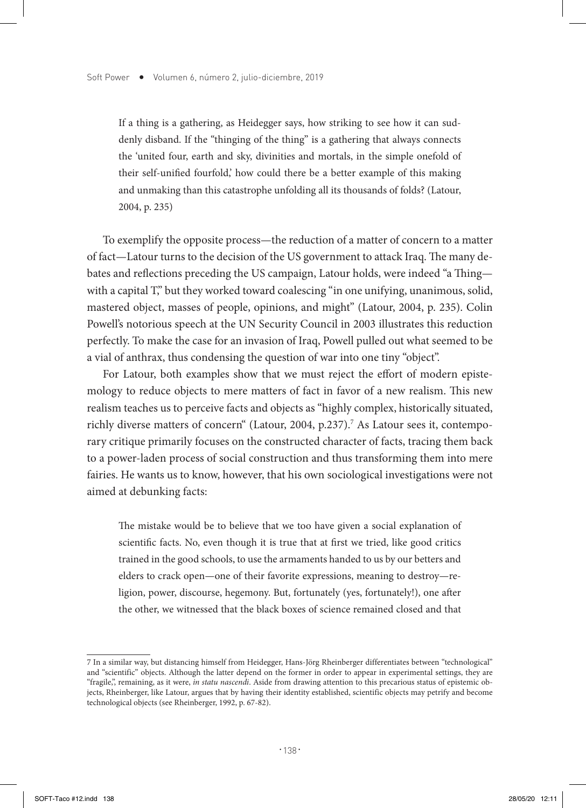If a thing is a gathering, as Heidegger says, how striking to see how it can suddenly disband. If the "thinging of the thing" is a gathering that always connects the 'united four, earth and sky, divinities and mortals, in the simple onefold of their self-unified fourfold,' how could there be a better example of this making and unmaking than this catastrophe unfolding all its thousands of folds? (Latour, 2004, p. 235)

To exemplify the opposite process—the reduction of a matter of concern to a matter of fact—Latour turns to the decision of the US government to attack Iraq. The many debates and reflections preceding the US campaign, Latour holds, were indeed "a Thing with a capital T," but they worked toward coalescing "in one unifying, unanimous, solid, mastered object, masses of people, opinions, and might" (Latour, 2004, p. 235). Colin Powell's notorious speech at the UN Security Council in 2003 illustrates this reduction perfectly. To make the case for an invasion of Iraq, Powell pulled out what seemed to be a vial of anthrax, thus condensing the question of war into one tiny "object".

For Latour, both examples show that we must reject the effort of modern epistemology to reduce objects to mere matters of fact in favor of a new realism. This new realism teaches us to perceive facts and objects as "highly complex, historically situated, richly diverse matters of concern" (Latour, 2004, p.237).<sup>7</sup> As Latour sees it, contemporary critique primarily focuses on the constructed character of facts, tracing them back to a power-laden process of social construction and thus transforming them into mere fairies. He wants us to know, however, that his own sociological investigations were not aimed at debunking facts:

The mistake would be to believe that we too have given a social explanation of scientific facts. No, even though it is true that at first we tried, like good critics trained in the good schools, to use the armaments handed to us by our betters and elders to crack open—one of their favorite expressions, meaning to destroy—religion, power, discourse, hegemony. But, fortunately (yes, fortunately!), one after the other, we witnessed that the black boxes of science remained closed and that

<sup>7</sup> In a similar way, but distancing himself from Heidegger, Hans-Jörg Rheinberger differentiates between "technological" and "scientific" objects. Although the latter depend on the former in order to appear in experimental settings, they are "fragile,", remaining, as it were, *in statu nascendi*. Aside from drawing attention to this precarious status of epistemic objects, Rheinberger, like Latour, argues that by having their identity established, scientific objects may petrify and become technological objects (see Rheinberger, 1992, p. 67-82).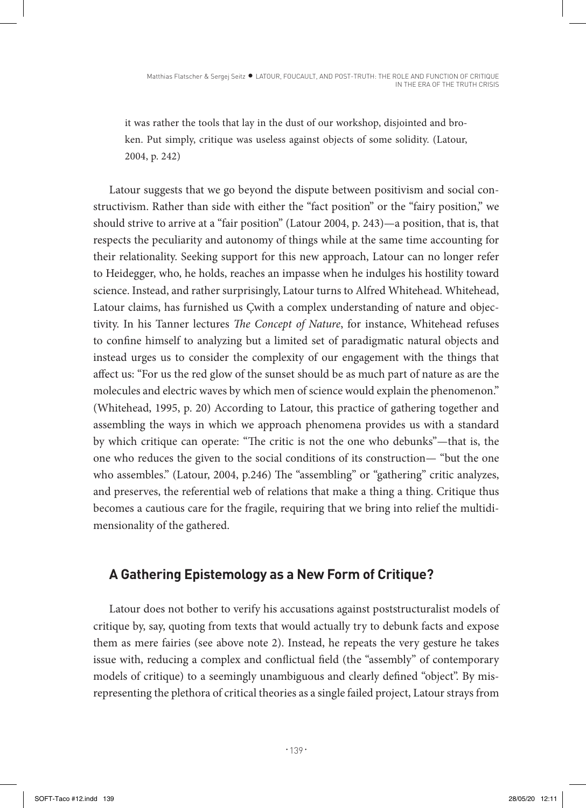it was rather the tools that lay in the dust of our workshop, disjointed and broken. Put simply, critique was useless against objects of some solidity. (Latour, 2004, p. 242)

Latour suggests that we go beyond the dispute between positivism and social constructivism. Rather than side with either the "fact position" or the "fairy position," we should strive to arrive at a "fair position" (Latour 2004, p. 243)—a position, that is, that respects the peculiarity and autonomy of things while at the same time accounting for their relationality. Seeking support for this new approach, Latour can no longer refer to Heidegger, who, he holds, reaches an impasse when he indulges his hostility toward science. Instead, and rather surprisingly, Latour turns to Alfred Whitehead. Whitehead, Latour claims, has furnished us Çwith a complex understanding of nature and objectivity. In his Tanner lectures *The Concept of Nature*, for instance, Whitehead refuses to confine himself to analyzing but a limited set of paradigmatic natural objects and instead urges us to consider the complexity of our engagement with the things that affect us: "For us the red glow of the sunset should be as much part of nature as are the molecules and electric waves by which men of science would explain the phenomenon." (Whitehead, 1995, p. 20) According to Latour, this practice of gathering together and assembling the ways in which we approach phenomena provides us with a standard by which critique can operate: "The critic is not the one who debunks"—that is, the one who reduces the given to the social conditions of its construction— "but the one who assembles." (Latour, 2004, p.246) The "assembling" or "gathering" critic analyzes, and preserves, the referential web of relations that make a thing a thing. Critique thus becomes a cautious care for the fragile, requiring that we bring into relief the multidimensionality of the gathered.

## **A Gathering Epistemology as a New Form of Critique?**

Latour does not bother to verify his accusations against poststructuralist models of critique by, say, quoting from texts that would actually try to debunk facts and expose them as mere fairies (see above note 2). Instead, he repeats the very gesture he takes issue with, reducing a complex and conflictual field (the "assembly" of contemporary models of critique) to a seemingly unambiguous and clearly defined "object". By misrepresenting the plethora of critical theories as a single failed project, Latour strays from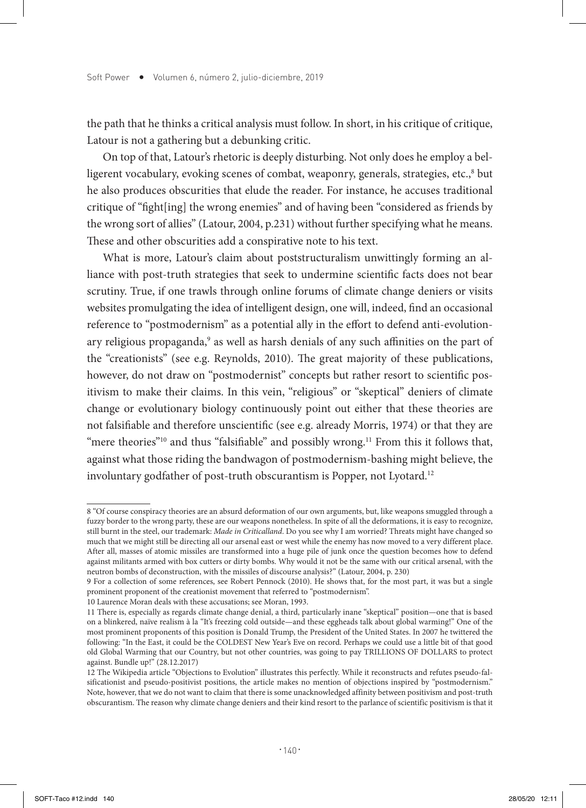the path that he thinks a critical analysis must follow. In short, in his critique of critique, Latour is not a gathering but a debunking critic.

On top of that, Latour's rhetoric is deeply disturbing. Not only does he employ a belligerent vocabulary, evoking scenes of combat, weaponry, generals, strategies, etc.,<sup>8</sup> but he also produces obscurities that elude the reader. For instance, he accuses traditional critique of "fight[ing] the wrong enemies" and of having been "considered as friends by the wrong sort of allies" (Latour, 2004, p.231) without further specifying what he means. These and other obscurities add a conspirative note to his text.

What is more, Latour's claim about poststructuralism unwittingly forming an alliance with post-truth strategies that seek to undermine scientific facts does not bear scrutiny. True, if one trawls through online forums of climate change deniers or visits websites promulgating the idea of intelligent design, one will, indeed, find an occasional reference to "postmodernism" as a potential ally in the effort to defend anti-evolutionary religious propaganda,<sup>9</sup> as well as harsh denials of any such affinities on the part of the "creationists" (see e.g. Reynolds, 2010). The great majority of these publications, however, do not draw on "postmodernist" concepts but rather resort to scientific positivism to make their claims. In this vein, "religious" or "skeptical" deniers of climate change or evolutionary biology continuously point out either that these theories are not falsifiable and therefore unscientific (see e.g. already Morris, 1974) or that they are "mere theories"<sup>10</sup> and thus "falsifiable" and possibly wrong.<sup>11</sup> From this it follows that, against what those riding the bandwagon of postmodernism-bashing might believe, the involuntary godfather of post-truth obscurantism is Popper, not Lyotard.<sup>12</sup>

<sup>8 &</sup>quot;Of course conspiracy theories are an absurd deformation of our own arguments, but, like weapons smuggled through a fuzzy border to the wrong party, these are our weapons nonetheless. In spite of all the deformations, it is easy to recognize, still burnt in the steel, our trademark: *Made in Criticalland*. Do you see why I am worried? Threats might have changed so much that we might still be directing all our arsenal east or west while the enemy has now moved to a very different place. After all, masses of atomic missiles are transformed into a huge pile of junk once the question becomes how to defend against militants armed with box cutters or dirty bombs. Why would it not be the same with our critical arsenal, with the neutron bombs of deconstruction, with the missiles of discourse analysis?" (Latour, 2004, p. 230)

<sup>9</sup> For a collection of some references, see Robert Pennock (2010). He shows that, for the most part, it was but a single prominent proponent of the creationist movement that referred to "postmodernism".

<sup>10</sup> Laurence Moran deals with these accusations; see Moran, 1993.

<sup>11</sup> There is, especially as regards climate change denial, a third, particularly inane "skeptical" position—one that is based on a blinkered, naïve realism à la "It's freezing cold outside—and these eggheads talk about global warming!" One of the most prominent proponents of this position is Donald Trump, the President of the United States. In 2007 he twittered the following: "In the East, it could be the COLDEST New Year's Eve on record. Perhaps we could use a little bit of that good old Global Warming that our Country, but not other countries, was going to pay TRILLIONS OF DOLLARS to protect against. Bundle up!" (28.12.2017)

<sup>12</sup> The Wikipedia article "Objections to Evolution" illustrates this perfectly. While it reconstructs and refutes pseudo-falsificationist and pseudo-positivist positions, the article makes no mention of objections inspired by "postmodernism." Note, however, that we do not want to claim that there is some unacknowledged affinity between positivism and post-truth obscurantism. The reason why climate change deniers and their kind resort to the parlance of scientific positivism is that it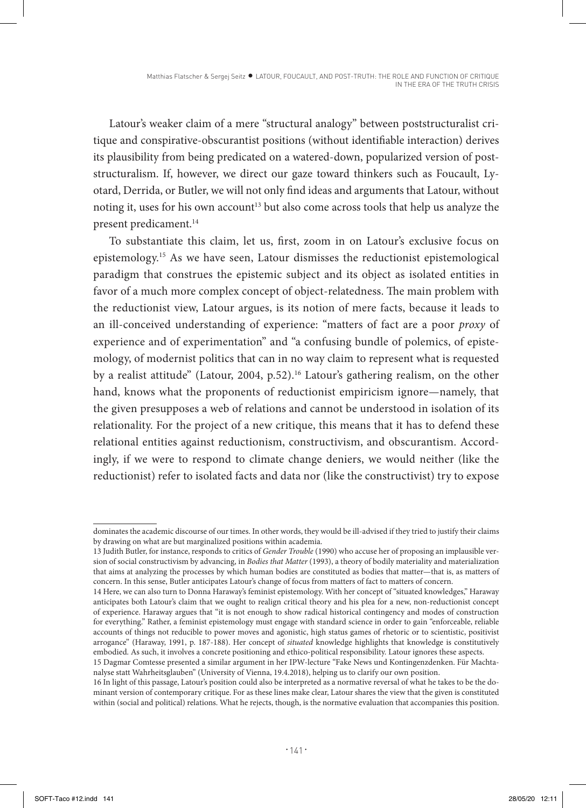Latour's weaker claim of a mere "structural analogy" between poststructuralist critique and conspirative-obscurantist positions (without identifiable interaction) derives its plausibility from being predicated on a watered-down, popularized version of poststructuralism. If, however, we direct our gaze toward thinkers such as Foucault, Lyotard, Derrida, or Butler, we will not only find ideas and arguments that Latour, without noting it, uses for his own account<sup>13</sup> but also come across tools that help us analyze the present predicament.<sup>14</sup>

To substantiate this claim, let us, first, zoom in on Latour's exclusive focus on epistemology.15 As we have seen, Latour dismisses the reductionist epistemological paradigm that construes the epistemic subject and its object as isolated entities in favor of a much more complex concept of object-relatedness. The main problem with the reductionist view, Latour argues, is its notion of mere facts, because it leads to an ill-conceived understanding of experience: "matters of fact are a poor *proxy* of experience and of experimentation" and "a confusing bundle of polemics, of epistemology, of modernist politics that can in no way claim to represent what is requested by a realist attitude" (Latour, 2004, p.52).<sup>16</sup> Latour's gathering realism, on the other hand, knows what the proponents of reductionist empiricism ignore—namely, that the given presupposes a web of relations and cannot be understood in isolation of its relationality. For the project of a new critique, this means that it has to defend these relational entities against reductionism, constructivism, and obscurantism. Accordingly, if we were to respond to climate change deniers, we would neither (like the reductionist) refer to isolated facts and data nor (like the constructivist) try to expose

dominates the academic discourse of our times. In other words, they would be ill-advised if they tried to justify their claims by drawing on what are but marginalized positions within academia.

<sup>13</sup> Judith Butler, for instance, responds to critics of *Gender Trouble* (1990) who accuse her of proposing an implausible version of social constructivism by advancing, in *Bodies that Matter* (1993), a theory of bodily materiality and materialization that aims at analyzing the processes by which human bodies are constituted as bodies that matter—that is, as matters of concern. In this sense, Butler anticipates Latour's change of focus from matters of fact to matters of concern.

<sup>14</sup> Here, we can also turn to Donna Haraway's feminist epistemology. With her concept of "situated knowledges," Haraway anticipates both Latour's claim that we ought to realign critical theory and his plea for a new, non-reductionist concept of experience. Haraway argues that "it is not enough to show radical historical contingency and modes of construction for everything." Rather, a feminist epistemology must engage with standard science in order to gain "enforceable, reliable accounts of things not reducible to power moves and agonistic, high status games of rhetoric or to scientistic, positivist arrogance" (Haraway, 1991, p. 187-188). Her concept of *situated* knowledge highlights that knowledge is constitutively embodied. As such, it involves a concrete positioning and ethico-political responsibility. Latour ignores these aspects.

<sup>15</sup> Dagmar Comtesse presented a similar argument in her IPW-lecture "Fake News und Kontingenzdenken. Für Machtanalyse statt Wahrheitsglauben" (University of Vienna, 19.4.2018), helping us to clarify our own position.

<sup>16</sup> In light of this passage, Latour's position could also be interpreted as a normative reversal of what he takes to be the dominant version of contemporary critique. For as these lines make clear, Latour shares the view that the given is constituted within (social and political) relations. What he rejects, though, is the normative evaluation that accompanies this position.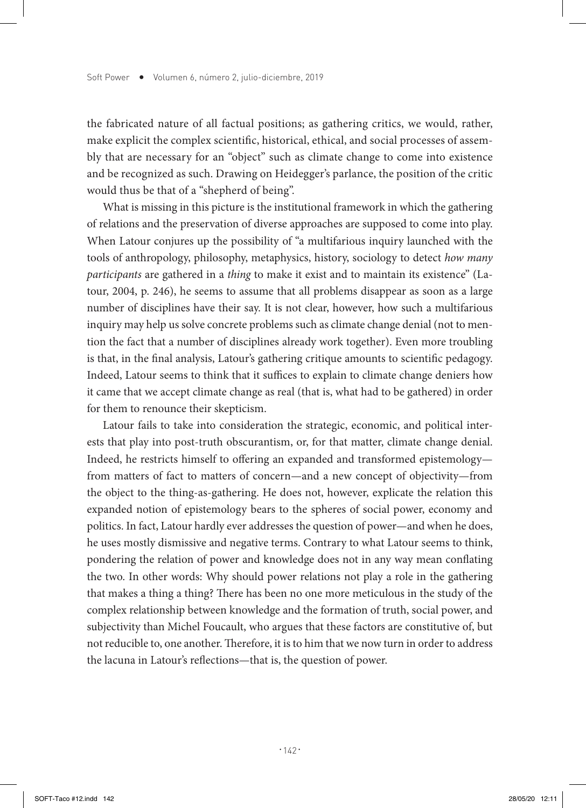the fabricated nature of all factual positions; as gathering critics, we would, rather, make explicit the complex scientific, historical, ethical, and social processes of assembly that are necessary for an "object" such as climate change to come into existence and be recognized as such. Drawing on Heidegger's parlance, the position of the critic would thus be that of a "shepherd of being".

What is missing in this picture is the institutional framework in which the gathering of relations and the preservation of diverse approaches are supposed to come into play. When Latour conjures up the possibility of "a multifarious inquiry launched with the tools of anthropology, philosophy, metaphysics, history, sociology to detect *how many participants* are gathered in a *thing* to make it exist and to maintain its existence" (Latour, 2004, p. 246), he seems to assume that all problems disappear as soon as a large number of disciplines have their say. It is not clear, however, how such a multifarious inquiry may help us solve concrete problems such as climate change denial (not to mention the fact that a number of disciplines already work together). Even more troubling is that, in the final analysis, Latour's gathering critique amounts to scientific pedagogy. Indeed, Latour seems to think that it suffices to explain to climate change deniers how it came that we accept climate change as real (that is, what had to be gathered) in order for them to renounce their skepticism.

Latour fails to take into consideration the strategic, economic, and political interests that play into post-truth obscurantism, or, for that matter, climate change denial. Indeed, he restricts himself to offering an expanded and transformed epistemology from matters of fact to matters of concern—and a new concept of objectivity—from the object to the thing-as-gathering. He does not, however, explicate the relation this expanded notion of epistemology bears to the spheres of social power, economy and politics. In fact, Latour hardly ever addresses the question of power—and when he does, he uses mostly dismissive and negative terms. Contrary to what Latour seems to think, pondering the relation of power and knowledge does not in any way mean conflating the two. In other words: Why should power relations not play a role in the gathering that makes a thing a thing? There has been no one more meticulous in the study of the complex relationship between knowledge and the formation of truth, social power, and subjectivity than Michel Foucault, who argues that these factors are constitutive of, but not reducible to, one another. Therefore, it is to him that we now turn in order to address the lacuna in Latour's reflections—that is, the question of power.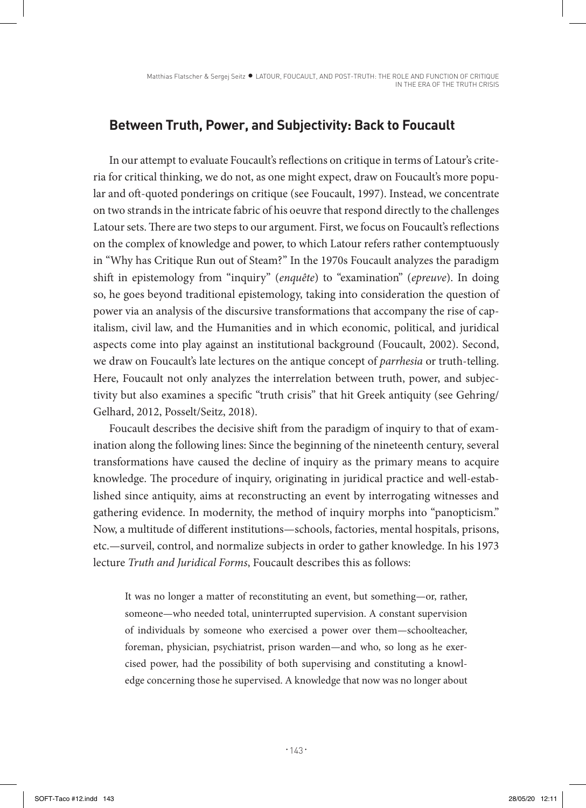## **Between Truth, Power, and Subjectivity: Back to Foucault**

In our attempt to evaluate Foucault's reflections on critique in terms of Latour's criteria for critical thinking, we do not, as one might expect, draw on Foucault's more popular and oft-quoted ponderings on critique (see Foucault, 1997). Instead, we concentrate on two strands in the intricate fabric of his oeuvre that respond directly to the challenges Latour sets. There are two steps to our argument. First, we focus on Foucault's reflections on the complex of knowledge and power, to which Latour refers rather contemptuously in "Why has Critique Run out of Steam?" In the 1970s Foucault analyzes the paradigm shift in epistemology from "inquiry" (*enquête*) to "examination" (*epreuve*). In doing so, he goes beyond traditional epistemology, taking into consideration the question of power via an analysis of the discursive transformations that accompany the rise of capitalism, civil law, and the Humanities and in which economic, political, and juridical aspects come into play against an institutional background (Foucault, 2002). Second, we draw on Foucault's late lectures on the antique concept of *parrhesia* or truth-telling. Here, Foucault not only analyzes the interrelation between truth, power, and subjectivity but also examines a specific "truth crisis" that hit Greek antiquity (see Gehring/ Gelhard, 2012, Posselt/Seitz, 2018).

Foucault describes the decisive shift from the paradigm of inquiry to that of examination along the following lines: Since the beginning of the nineteenth century, several transformations have caused the decline of inquiry as the primary means to acquire knowledge. The procedure of inquiry, originating in juridical practice and well-established since antiquity, aims at reconstructing an event by interrogating witnesses and gathering evidence. In modernity, the method of inquiry morphs into "panopticism." Now, a multitude of different institutions—schools, factories, mental hospitals, prisons, etc.—surveil, control, and normalize subjects in order to gather knowledge. In his 1973 lecture *Truth and Juridical Forms*, Foucault describes this as follows:

It was no longer a matter of reconstituting an event, but something—or, rather, someone—who needed total, uninterrupted supervision. A constant supervision of individuals by someone who exercised a power over them—schoolteacher, foreman, physician, psychiatrist, prison warden—and who, so long as he exercised power, had the possibility of both supervising and constituting a knowledge concerning those he supervised. A knowledge that now was no longer about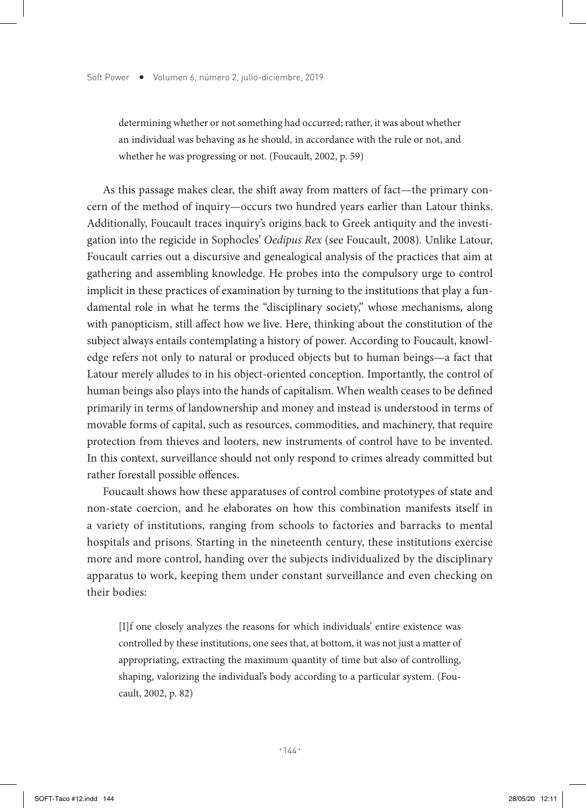determining whether or not something had occurred; rather, it was about whether an individual was behaving as he should, in accordance with the rule or not, and whether he was progressing or not. (Foucault, 2002, p. 59)

As this passage makes clear, the shift away from matters of fact—the primary concern of the method of inquiry—occurs two hundred years earlier than Latour thinks. Additionally, Foucault traces inquiry's origins back to Greek antiquity and the investigation into the regicide in Sophocles' *Oedipus Rex* (see Foucault, 2008)*.* Unlike Latour, Foucault carries out a discursive and genealogical analysis of the practices that aim at gathering and assembling knowledge. He probes into the compulsory urge to control implicit in these practices of examination by turning to the institutions that play a fundamental role in what he terms the "disciplinary society," whose mechanisms, along with panopticism, still affect how we live. Here, thinking about the constitution of the subject always entails contemplating a history of power. According to Foucault, knowledge refers not only to natural or produced objects but to human beings—a fact that Latour merely alludes to in his object-oriented conception. Importantly, the control of human beings also plays into the hands of capitalism. When wealth ceases to be defined primarily in terms of landownership and money and instead is understood in terms of movable forms of capital, such as resources, commodities, and machinery, that require protection from thieves and looters, new instruments of control have to be invented. In this context, surveillance should not only respond to crimes already committed but rather forestall possible offences.

Foucault shows how these apparatuses of control combine prototypes of state and non-state coercion, and he elaborates on how this combination manifests itself in a variety of institutions, ranging from schools to factories and barracks to mental hospitals and prisons. Starting in the nineteenth century, these institutions exercise more and more control, handing over the subjects individualized by the disciplinary apparatus to work, keeping them under constant surveillance and even checking on their bodies:

[I]f one closely analyzes the reasons for which individuals' entire existence was controlled by these institutions, one sees that, at bottom, it was not just a matter of appropriating, extracting the maximum quantity of time but also of controlling, shaping, valorizing the individual's body according to a particular system. (Foucault, 2002, p. 82)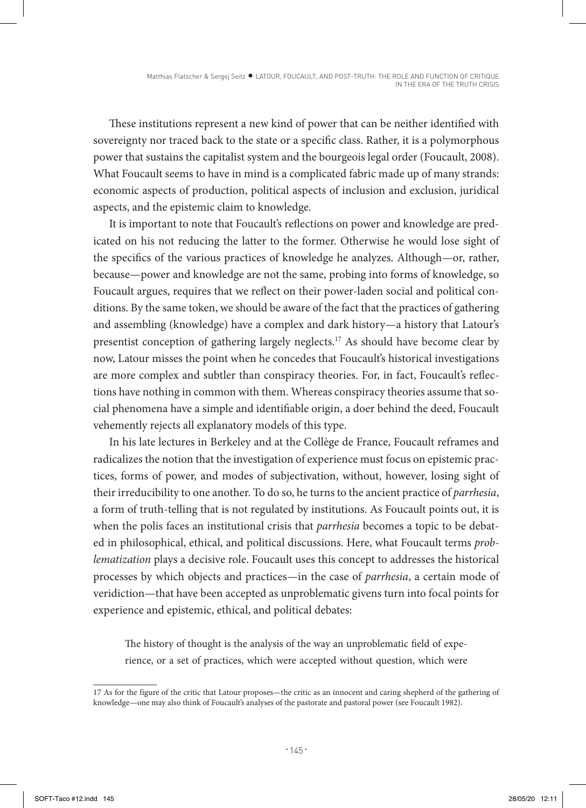These institutions represent a new kind of power that can be neither identified with sovereignty nor traced back to the state or a specific class. Rather, it is a polymorphous power that sustains the capitalist system and the bourgeois legal order (Foucault, 2008). What Foucault seems to have in mind is a complicated fabric made up of many strands: economic aspects of production, political aspects of inclusion and exclusion, juridical aspects, and the epistemic claim to knowledge.

It is important to note that Foucault's reflections on power and knowledge are predicated on his not reducing the latter to the former. Otherwise he would lose sight of the specifics of the various practices of knowledge he analyzes. Although—or, rather, because—power and knowledge are not the same, probing into forms of knowledge, so Foucault argues, requires that we reflect on their power-laden social and political conditions. By the same token, we should be aware of the fact that the practices of gathering and assembling (knowledge) have a complex and dark history—a history that Latour's presentist conception of gathering largely neglects.17 As should have become clear by now, Latour misses the point when he concedes that Foucault's historical investigations are more complex and subtler than conspiracy theories. For, in fact, Foucault's reflections have nothing in common with them. Whereas conspiracy theories assume that social phenomena have a simple and identifiable origin, a doer behind the deed, Foucault vehemently rejects all explanatory models of this type.

In his late lectures in Berkeley and at the Collège de France, Foucault reframes and radicalizes the notion that the investigation of experience must focus on epistemic practices, forms of power, and modes of subjectivation, without, however, losing sight of their irreducibility to one another. To do so, he turns to the ancient practice of *parrhesia*, a form of truth-telling that is not regulated by institutions. As Foucault points out, it is when the polis faces an institutional crisis that *parrhesia* becomes a topic to be debated in philosophical, ethical, and political discussions. Here, what Foucault terms *problematization* plays a decisive role. Foucault uses this concept to addresses the historical processes by which objects and practices—in the case of *parrhesia*, a certain mode of veridiction—that have been accepted as unproblematic givens turn into focal points for experience and epistemic, ethical, and political debates:

The history of thought is the analysis of the way an unproblematic field of experience, or a set of practices, which were accepted without question, which were

<sup>17</sup> As for the figure of the critic that Latour proposes—the critic as an innocent and caring shepherd of the gathering of knowledge—one may also think of Foucault's analyses of the pastorate and pastoral power (see Foucault 1982).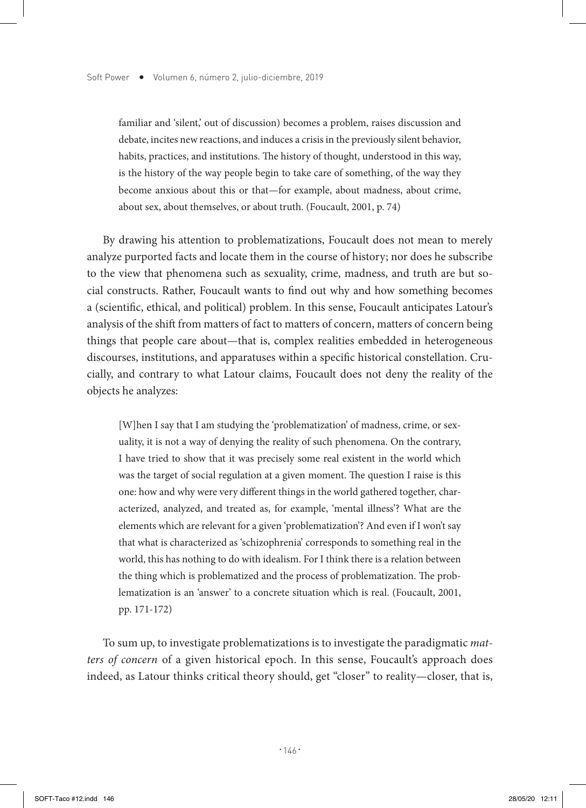familiar and 'silent,' out of discussion) becomes a problem, raises discussion and debate, incites new reactions, and induces a crisis in the previously silent behavior, habits, practices, and institutions. The history of thought, understood in this way, is the history of the way people begin to take care of something, of the way they become anxious about this or that—for example, about madness, about crime, about sex, about themselves, or about truth. (Foucault, 2001, p. 74)

By drawing his attention to problematizations, Foucault does not mean to merely analyze purported facts and locate them in the course of history; nor does he subscribe to the view that phenomena such as sexuality, crime, madness, and truth are but social constructs. Rather, Foucault wants to find out why and how something becomes a (scientific, ethical, and political) problem. In this sense, Foucault anticipates Latour's analysis of the shift from matters of fact to matters of concern, matters of concern being things that people care about—that is, complex realities embedded in heterogeneous discourses, institutions, and apparatuses within a specific historical constellation. Crucially, and contrary to what Latour claims, Foucault does not deny the reality of the objects he analyzes:

[W]hen I say that I am studying the 'problematization' of madness, crime, or sexuality, it is not a way of denying the reality of such phenomena. On the contrary, I have tried to show that it was precisely some real existent in the world which was the target of social regulation at a given moment. The question I raise is this one: how and why were very different things in the world gathered together, characterized, analyzed, and treated as, for example, 'mental illness'? What are the elements which are relevant for a given 'problematization'? And even if I won't say that what is characterized as 'schizophrenia' corresponds to something real in the world, this has nothing to do with idealism. For I think there is a relation between the thing which is problematized and the process of problematization. The problematization is an 'answer' to a concrete situation which is real. (Foucault, 2001, pp. 171-172)

To sum up, to investigate problematizations is to investigate the paradigmatic *matters of concern* of a given historical epoch. In this sense, Foucault's approach does indeed, as Latour thinks critical theory should, get "closer" to reality—closer, that is,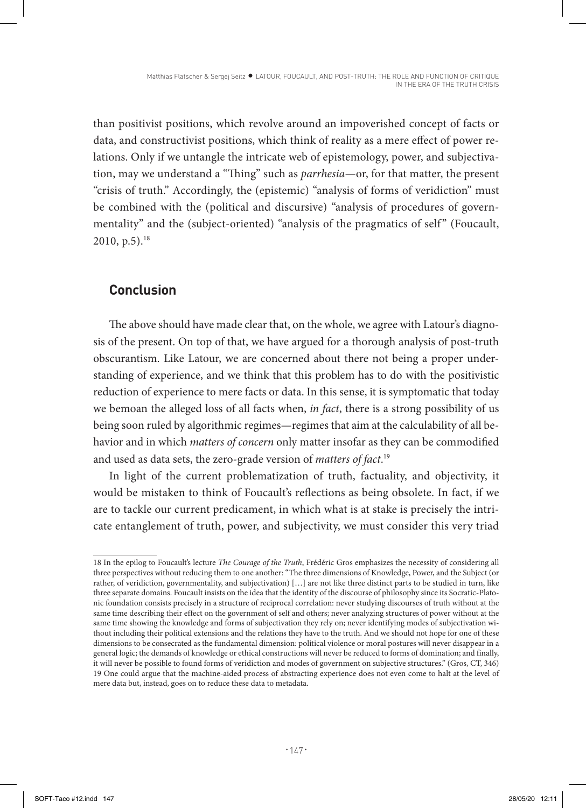than positivist positions, which revolve around an impoverished concept of facts or data, and constructivist positions, which think of reality as a mere effect of power relations. Only if we untangle the intricate web of epistemology, power, and subjectivation, may we understand a "Thing" such as *parrhesia*—or, for that matter, the present "crisis of truth." Accordingly, the (epistemic) "analysis of forms of veridiction" must be combined with the (political and discursive) "analysis of procedures of governmentality" and the (subject-oriented) "analysis of the pragmatics of self" (Foucault,  $2010$ , p.5).<sup>18</sup>

## **Conclusion**

The above should have made clear that, on the whole, we agree with Latour's diagnosis of the present. On top of that, we have argued for a thorough analysis of post-truth obscurantism. Like Latour, we are concerned about there not being a proper understanding of experience, and we think that this problem has to do with the positivistic reduction of experience to mere facts or data. In this sense, it is symptomatic that today we bemoan the alleged loss of all facts when, *in fact*, there is a strong possibility of us being soon ruled by algorithmic regimes—regimes that aim at the calculability of all behavior and in which *matters of concern* only matter insofar as they can be commodified and used as data sets, the zero-grade version of *matters of fact*. 19

In light of the current problematization of truth, factuality, and objectivity, it would be mistaken to think of Foucault's reflections as being obsolete. In fact, if we are to tackle our current predicament, in which what is at stake is precisely the intricate entanglement of truth, power, and subjectivity, we must consider this very triad

<sup>18</sup> In the epilog to Foucault's lecture *The Courage of the Truth*, Frédéric Gros emphasizes the necessity of considering all three perspectives without reducing them to one another: "The three dimensions of Knowledge, Power, and the Subject (or rather, of veridiction, governmentality, and subjectivation) […] are not like three distinct parts to be studied in turn, like three separate domains. Foucault insists on the idea that the identity of the discourse of philosophy since its Socratic-Platonic foundation consists precisely in a structure of reciprocal correlation: never studying discourses of truth without at the same time describing their effect on the government of self and others; never analyzing structures of power without at the same time showing the knowledge and forms of subjectivation they rely on; never identifying modes of subjectivation without including their political extensions and the relations they have to the truth. And we should not hope for one of these dimensions to be consecrated as the fundamental dimension: political violence or moral postures will never disappear in a general logic; the demands of knowledge or ethical constructions will never be reduced to forms of domination; and finally, it will never be possible to found forms of veridiction and modes of government on subjective structures." (Gros, CT, 346) 19 One could argue that the machine-aided process of abstracting experience does not even come to halt at the level of mere data but, instead, goes on to reduce these data to metadata.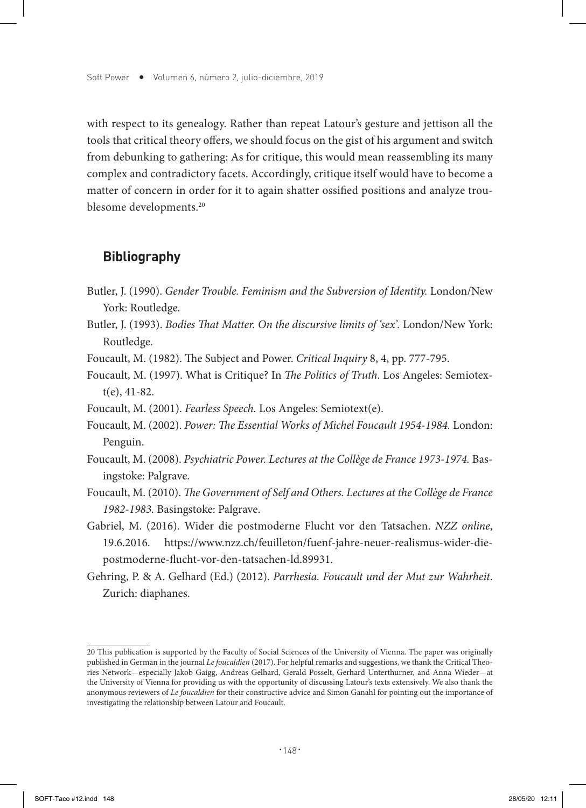with respect to its genealogy. Rather than repeat Latour's gesture and jettison all the tools that critical theory offers, we should focus on the gist of his argument and switch from debunking to gathering: As for critique, this would mean reassembling its many complex and contradictory facets. Accordingly, critique itself would have to become a matter of concern in order for it to again shatter ossified positions and analyze troublesome developments.<sup>20</sup>

#### **Bibliography**

- Butler, J. (1990). *Gender Trouble. Feminism and the Subversion of Identity.* London/New York: Routledge.
- Butler, J. (1993). *Bodies That Matter. On the discursive limits of 'sex'.* London/New York: Routledge.
- Foucault, M. (1982). The Subject and Power. *Critical Inquiry* 8, 4, pp. 777-795.
- Foucault, M. (1997). What is Critique? In *The Politics of Truth*. Los Angeles: Semiotext(e), 41-82.
- Foucault, M. (2001). *Fearless Speech.* Los Angeles: Semiotext(e).
- Foucault, M. (2002). *Power: The Essential Works of Michel Foucault 1954-1984.* London: Penguin.
- Foucault, M. (2008). *Psychiatric Power. Lectures at the Collège de France 1973-1974.* Basingstoke: Palgrave.
- Foucault, M. (2010). *The Government of Self and Others. Lectures at the Collège de France 1982-1983.* Basingstoke: Palgrave.
- Gabriel, M. (2016). Wider die postmoderne Flucht vor den Tatsachen. *NZZ online*, 19.6.2016. https://www.nzz.ch/feuilleton/fuenf-jahre-neuer-realismus-wider-diepostmoderne-flucht-vor-den-tatsachen-ld.89931.
- Gehring, P. & A. Gelhard (Ed.) (2012). *Parrhesia. Foucault und der Mut zur Wahrheit*. Zurich: diaphanes.

<sup>20</sup> This publication is supported by the Faculty of Social Sciences of the University of Vienna. The paper was originally published in German in the journal *Le foucaldien* (2017). For helpful remarks and suggestions, we thank the Critical Theories Network—especially Jakob Gaigg, Andreas Gelhard, Gerald Posselt, Gerhard Unterthurner, and Anna Wieder—at the University of Vienna for providing us with the opportunity of discussing Latour's texts extensively. We also thank the anonymous reviewers of *Le foucaldien* for their constructive advice and Simon Ganahl for pointing out the importance of investigating the relationship between Latour and Foucault.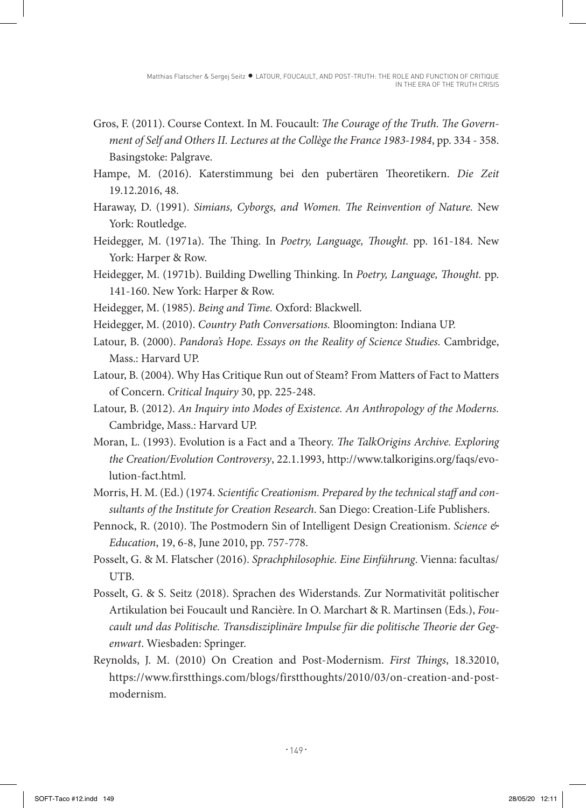- Gros, F. (2011). Course Context. In M. Foucault: *The Courage of the Truth. The Government of Self and Others II. Lectures at the Collège the France 1983-1984*, pp. 334 - 358. Basingstoke: Palgrave.
- Hampe, M. (2016). Katerstimmung bei den pubertären Theoretikern. *Die Zeit*  19.12.2016, 48.
- Haraway, D. (1991). *Simians, Cyborgs, and Women. The Reinvention of Nature.* New York: Routledge.
- Heidegger, M. (1971a). The Thing. In *Poetry, Language, Thought.* pp. 161-184. New York: Harper & Row.
- Heidegger, M. (1971b). Building Dwelling Thinking. In *Poetry, Language, Thought.* pp. 141-160. New York: Harper & Row.
- Heidegger, M. (1985). *Being and Time.* Oxford: Blackwell.
- Heidegger, M. (2010). *Country Path Conversations.* Bloomington: Indiana UP.
- Latour, B. (2000). *Pandora's Hope. Essays on the Reality of Science Studies.* Cambridge, Mass.: Harvard UP.
- Latour, B. (2004). Why Has Critique Run out of Steam? From Matters of Fact to Matters of Concern. *Critical Inquiry* 30, pp. 225-248.
- Latour, B. (2012). *An Inquiry into Modes of Existence. An Anthropology of the Moderns.*  Cambridge, Mass.: Harvard UP.
- Moran, L. (1993). Evolution is a Fact and a Theory. *The TalkOrigins Archive. Exploring the Creation/Evolution Controversy*, 22.1.1993, http://www.talkorigins.org/faqs/evolution-fact.html.
- Morris, H. M. (Ed.) (1974. *Scientific Creationism. Prepared by the technical staff and consultants of the Institute for Creation Research*. San Diego: Creation-Life Publishers.
- Pennock, R. (2010). The Postmodern Sin of Intelligent Design Creationism. *Science & Education*, 19, 6-8, June 2010, pp. 757-778.
- Posselt, G. & M. Flatscher (2016). *Sprachphilosophie. Eine Einführung*. Vienna: facultas/ UTB.
- Posselt, G. & S. Seitz (2018). Sprachen des Widerstands. Zur Normativität politischer Artikulation bei Foucault und Rancière. In O. Marchart & R. Martinsen (Eds.), *Foucault und das Politische. Transdisziplinäre Impulse für die politische Theorie der Gegenwart*. Wiesbaden: Springer.
- Reynolds, J. M. (2010) On Creation and Post-Modernism. *First Things*, 18.32010, https://www.firstthings.com/blogs/firstthoughts/2010/03/on-creation-and-postmodernism.